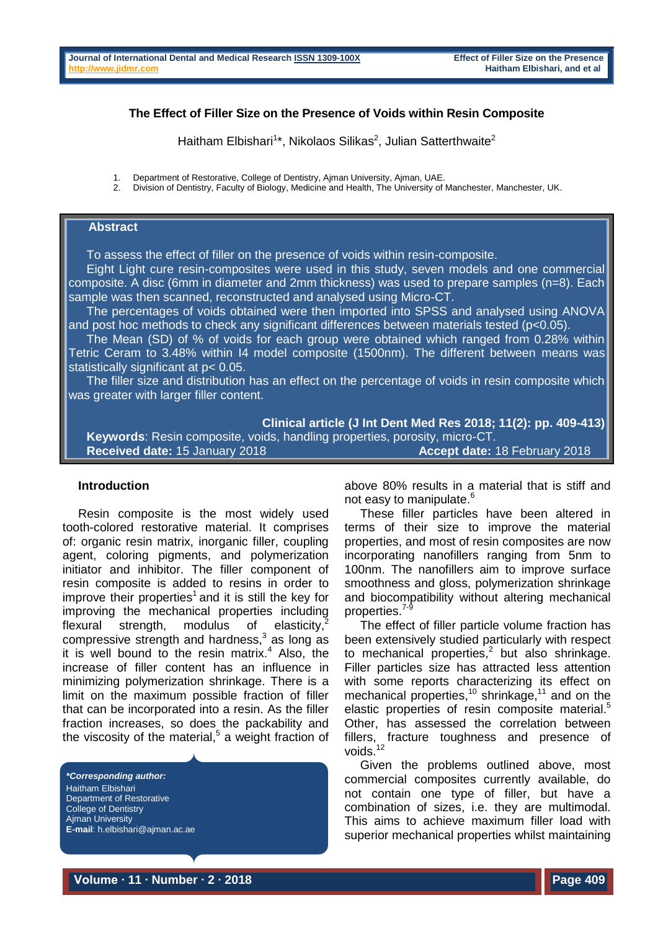# **The Effect of Filler Size on the Presence of Voids within Resin Composite**

Haitham Elbishari<sup>1\*</sup>, Nikolaos Silikas<sup>2</sup>, Julian Satterthwaite<sup>2</sup>

- 1. Department of Restorative, College of Dentistry, Ajman University, Ajman, UAE.<br>2. Division of Dentistry, Eaculty of Biology, Medicine and Health, The University of
- 2. Division of Dentistry, Faculty of Biology, Medicine and Health, The University of Manchester, Manchester, UK.

# **Abstract**

To assess the effect of filler on the presence of voids within resin-composite.

Eight Light cure resin-composites were used in this study, seven models and one commercial composite. A disc (6mm in diameter and 2mm thickness) was used to prepare samples (n=8). Each sample was then scanned, reconstructed and analysed using Micro-CT.

The percentages of voids obtained were then imported into SPSS and analysed using ANOVA and post hoc methods to check any significant differences between materials tested (p<0.05).

The Mean (SD) of % of voids for each group were obtained which ranged from 0.28% within Tetric Ceram to 3.48% within I4 model composite (1500nm). The different between means was statistically significant at p< 0.05.

The filler size and distribution has an effect on the percentage of voids in resin composite which was greater with larger filler content.

**Clinical article (J Int Dent Med Res 2018; 11(2): pp. 409-413) Keywords**: Resin composite, voids, handling properties, porosity, micro-CT. **Received date:** 15 January 2018 **Accept date:** 18 February 2018

### **Introduction**

Resin composite is the most widely used tooth-colored restorative material. It comprises of: organic resin matrix, inorganic filler, coupling agent, coloring pigments, and polymerization initiator and inhibitor. The filler component of resin composite is added to resins in order to improve their properties<sup>1</sup> and it is still the key for improving the mechanical properties including flexural strength, modulus of elasticity, $^2$ compressive strength and hardness, 3 as long as it is well bound to the resin matrix. <sup>4</sup> Also, the increase of filler content has an influence in minimizing polymerization shrinkage. There is a limit on the maximum possible fraction of filler that can be incorporated into a resin. As the filler fraction increases, so does the packability and the viscosity of the material, 5 a weight fraction of

*\*Corresponding author:* Haitham Elbishari Department of Restorative College of Dentistry Ajman University **E-mail**: h.elbishari@ajman.ac.ae above 80% results in a material that is stiff and not easy to manipulate. 6

These filler particles have been altered in terms of their size to improve the material properties, and most of resin composites are now incorporating nanofillers ranging from 5nm to 100nm. The nanofillers aim to improve surface smoothness and gloss, polymerization shrinkage and biocompatibility without altering mechanical properties.<sup>7-9</sup>

The effect of filler particle volume fraction has been extensively studied particularly with respect to mechanical properties, 2 but also shrinkage. Filler particles size has attracted less attention with some reports characterizing its effect on mechanical properties,<sup>10</sup> shrinkage,<sup>11</sup> and on the elastic properties of resin composite material.<sup>5</sup> Other, has assessed the correlation between fillers, fracture toughness and presence of voids.<sup>12</sup>

Given the problems outlined above, most commercial composites currently available, do not contain one type of filler, but have a combination of sizes, i.e. they are multimodal. This aims to achieve maximum filler load with superior mechanical properties whilst maintaining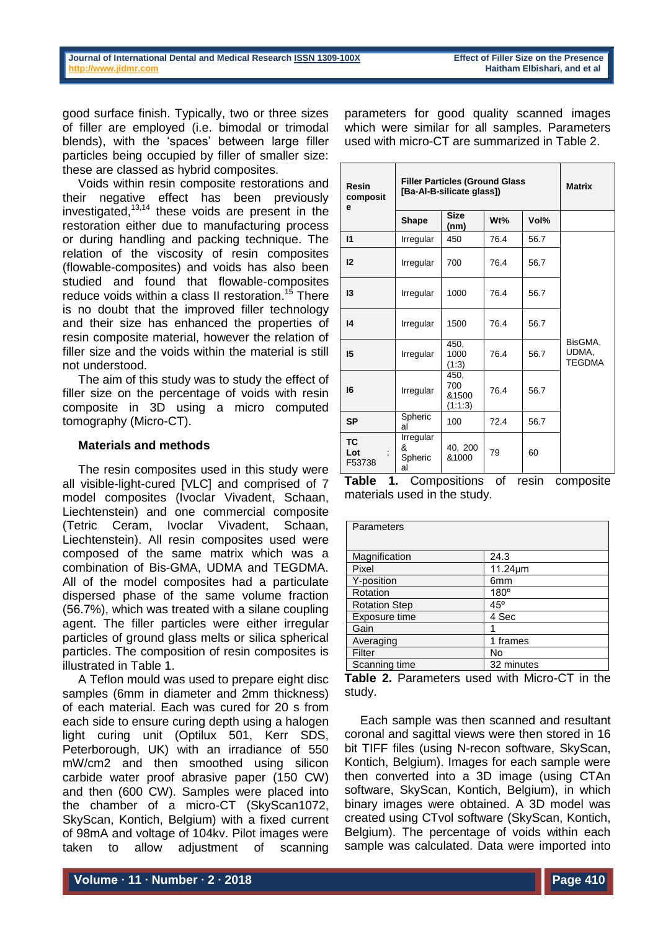dispersed phase of the same volume fraction (56.7%), which was treated with a silane coupling agent. The filler particles were either irregular particles of ground glass melts or silica spherical particles. The composition of resin composites is illustrated in Table 1.

A Teflon mould was used to prepare eight disc samples (6mm in diameter and 2mm thickness) of each material. Each was cured for 20 s from each side to ensure curing depth using a halogen light curing unit (Optilux 501, Kerr SDS, Peterborough, UK) with an irradiance of 550 mW/cm2 and then smoothed using silicon carbide water proof abrasive paper (150 CW) and then (600 CW). Samples were placed into the chamber of a micro-CT (SkyScan1072, SkyScan, Kontich, Belgium) with a fixed current of 98mA and voltage of 104kv. Pilot images were taken to allow adjustment of scanning

**Table 1.** Compositions of resin composite materials used in the study.

 $\begin{array}{c|c} 40, 200 \\ 81000 \end{array}$  79 60

al 100 72.4 56.7

40, 200

| Parameters           |               |
|----------------------|---------------|
|                      |               |
|                      |               |
| Magnification        | 24.3          |
| Pixel                | $11.24 \mu m$ |
| Y-position           | 6mm           |
| Rotation             | $180^\circ$   |
| <b>Rotation Step</b> | $45^{\circ}$  |
| Exposure time        | 4 Sec         |
| Gain                 |               |
| Averaging            | 1 frames      |
| Filter               | No            |
| Scanning time        | 32 minutes    |

**Table 2.** Parameters used with Micro-CT in the study.

Each sample was then scanned and resultant coronal and sagittal views were then stored in 16 bit TIFF files (using N-recon software, SkyScan, Kontich, Belgium). Images for each sample were then converted into a 3D image (using CTAn software, SkyScan, Kontich, Belgium), in which binary images were obtained. A 3D model was created using CTvol software (SkyScan, Kontich, Belgium). The percentage of voids within each sample was calculated. Data were imported into

good surface finish. Typically, two or three sizes of filler are employed (i.e. bimodal or trimodal blends), with the 'spaces' between large filler particles being occupied by filler of smaller size: these are classed as hybrid composites.

Voids within resin composite restorations and their negative effect has been previously investigated, 13,14 these voids are present in the restoration either due to manufacturing process or during handling and packing technique. The relation of the viscosity of resin composites (flowable-composites) and voids has also been studied and found that flowable-composites reduce voids within a class II restoration.<sup>15</sup> There is no doubt that the improved filler technology and their size has enhanced the properties of resin composite material, however the relation of filler size and the voids within the material is still not understood.

The aim of this study was to study the effect of filler size on the percentage of voids with resin composite in 3D using a micro computed tomography (Micro-CT).

**Materials and methods** The resin composites used in this study were all visible-light-cured [VLC] and comprised of 7 model composites (Ivoclar Vivadent, Schaan, Liechtenstein) and one commercial composite (Tetric Ceram, Ivoclar Vivadent, Schaan, Liechtenstein). All resin composites used were composed of the same matrix which was a combination of Bis-GMA, UDMA and TEGDMA. All of the model composites had a particulate

**Resin composit**

**e**

parameters for good quality scanned images which were similar for all samples. Parameters used with micro-CT are summarized in Table 2.

**[Ba-Al-B-silicate glass]) Matrix**

 $\begin{array}{c|c} \text{size} \\ \text{(nm)} \end{array}$  Wt%  $\begin{array}{c|c} \text{Vol}\% \end{array}$ 

76.4 56.7

76.4 56.7

**Filler Particles (Ground Glass** 

**Shape Size** 

**I1** Irregular 450 76.4 56.7

**I2** Irregular 700 76.4 56.7

**I3** Irregular 1000 76.4 56.7

**I4** Irregular 1500 76.4 56.7

450, 1000  $(1:3)$ 

 $450$ 700 &1500 (1:1:3)

**I5** Irregular

**I6** Irregular

**SP** Spheric

**Irregular** & Spheric al

**TC Lot** : F53738 BisGMA, UDMA, TEGDMA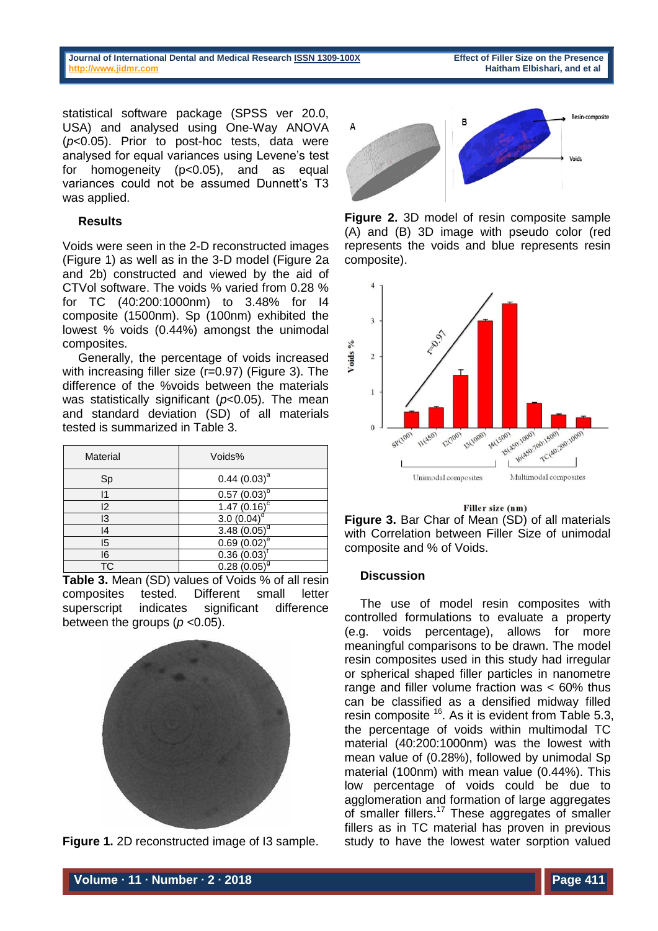**Journal of International Dental and Medical Researc[h ISSN 1309-100X](http://www.ektodermaldisplazi.com/dergi.htm) Effect of Filler Size on the Presence [http://www.jidmr.com](http://www.jidmr.com/) Haitham Elbishari, and et al**

statistical software package (SPSS ver 20.0, USA) and analysed using One-Way ANOVA (*p*<0.05). Prior to post-hoc tests, data were analysed for equal variances using Levene's test for homogeneity (p<0.05), and as equal variances could not be assumed Dunnett's T3 was applied.

# **Results**

Voids were seen in the 2-D reconstructed images (Figure 1) as well as in the 3-D model (Figure 2a and 2b) constructed and viewed by the aid of CTVol software. The voids % varied from 0.28 % for TC (40:200:1000nm) to 3.48% for I4 composite (1500nm). Sp (100nm) exhibited the lowest % voids (0.44%) amongst the unimodal composites.

Generally, the percentage of voids increased with increasing filler size (r=0.97) (Figure 3). The difference of the %voids between the materials was statistically significant (*p*<0.05). The mean and standard deviation (SD) of all materials tested is summarized in Table 3.

| Material | Voids%            |
|----------|-------------------|
| Sp       | $0.44$ $(0.03)^a$ |
| 11       | $0.57(0.03)^b$    |
| 12       | $1.47(0.16)^c$    |
| 13       | $3.0(0.04)^{o}$   |
| 14       | $3.48(0.05)^d$    |
| 15       | $0.69(0.02)^e$    |
| 16       | 0.36(0.03)        |
| ТC       | $0.28(0.05)^{9}$  |

**Table 3.** Mean (SD) values of Voids % of all resin composites tested. Different small letter superscript indicates significant difference between the groups (*p* <0.05).



**Figure 1.** 2D reconstructed image of I3 sample.



**Figure 2.** 3D model of resin composite sample (A) and (B) 3D image with pseudo color (red represents the voids and blue represents resin composite).



#### Filler size (nm)



## **Discussion**

The use of model resin composites with controlled formulations to evaluate a property (e.g. voids percentage), allows for more meaningful comparisons to be drawn. The model resin composites used in this study had irregular or spherical shaped filler particles in nanometre range and filler volume fraction was < 60% thus can be classified as a densified midway filled resin composite  $16$ . As it is evident from Table 5.3, the percentage of voids within multimodal TC material (40:200:1000nm) was the lowest with mean value of (0.28%), followed by unimodal Sp material (100nm) with mean value (0.44%). This low percentage of voids could be due to agglomeration and formation of large aggregates of smaller fillers.<sup>17</sup> These aggregates of smaller fillers as in TC material has proven in previous study to have the lowest water sorption valued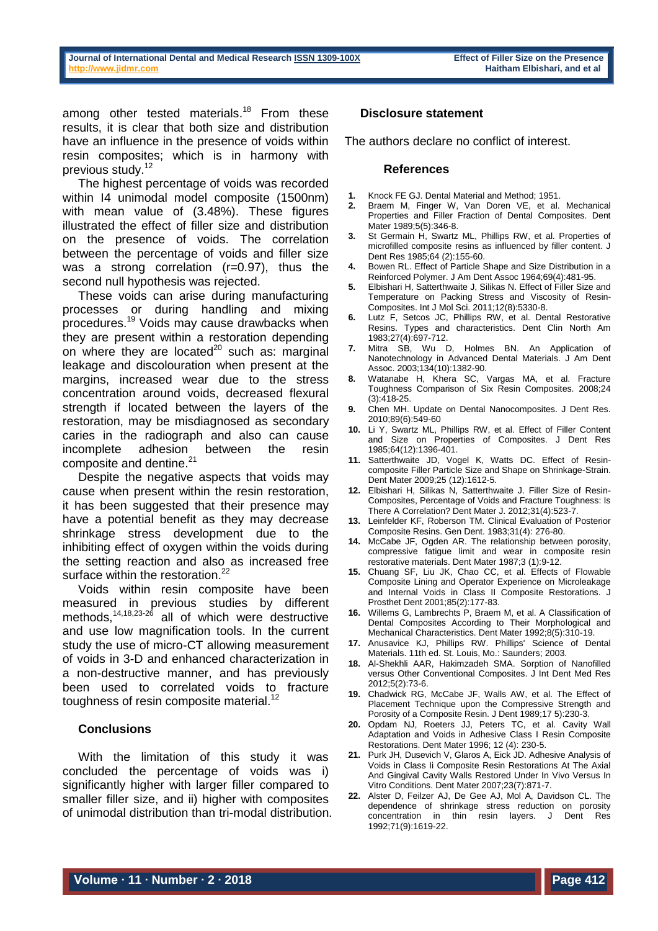among other tested materials.<sup>18</sup> From these results, it is clear that both size and distribution have an influence in the presence of voids within resin composites; which is in harmony with previous study. 12

The highest percentage of voids was recorded within I4 unimodal model composite (1500nm) with mean value of (3.48%). These figures illustrated the effect of filler size and distribution on the presence of voids. The correlation between the percentage of voids and filler size was a strong correlation (r=0.97), thus the second null hypothesis was rejected.

These voids can arise during manufacturing processes or during handling and mixing procedures. <sup>19</sup> Voids may cause drawbacks when they are present within a restoration depending on where they are located $20$  such as: marginal leakage and discolouration when present at the margins, increased wear due to the stress concentration around voids, decreased flexural strength if located between the layers of the restoration, may be misdiagnosed as secondary caries in the radiograph and also can cause incomplete adhesion between the resin composite and dentine. 21

Despite the negative aspects that voids may cause when present within the resin restoration, it has been suggested that their presence may have a potential benefit as they may decrease shrinkage stress development due to the inhibiting effect of oxygen within the voids during the setting reaction and also as increased free surface within the restoration.<sup>22</sup>

Voids within resin composite have been measured in previous studies by different methods, 14,18,23-26 all of which were destructive and use low magnification tools. In the current study the use of micro-CT allowing measurement of voids in 3-D and enhanced characterization in a non-destructive manner, and has previously been used to correlated voids to fracture toughness of resin composite material.<sup>12</sup>

## **Conclusions**

With the limitation of this study it was concluded the percentage of voids was i) significantly higher with larger filler compared to smaller filler size, and ii) higher with composites of unimodal distribution than tri-modal distribution.

## **Disclosure statement**

The authors declare no conflict of interest.

### **References**

- **1.** Knock FE GJ. Dental Material and Method; 1951.
- **2.** Braem M, Finger W, Van Doren VE, et al. Mechanical Properties and Filler Fraction of Dental Composites. Dent Mater 1989;5(5):346-8.
- **3.** St Germain H, Swartz ML, Phillips RW, et al. Properties of microfilled composite resins as influenced by filler content. J Dent Res 1985;64 (2):155-60.
- **4.** Bowen RL. Effect of Particle Shape and Size Distribution in a Reinforced Polymer. J Am Dent Assoc 1964;69(4):481-95.
- **5.** Elbishari H, Satterthwaite J, Silikas N. Effect of Filler Size and Temperature on Packing Stress and Viscosity of Resin-Composites. Int J Mol Sci. 2011;12(8):5330-8.
- **6.** Lutz F, Setcos JC, Phillips RW, et al. Dental Restorative Resins. Types and characteristics. Dent Clin North Am 1983;27(4):697-712.
- **7.** Mitra SB, Wu D, Holmes BN. An Application of Nanotechnology in Advanced Dental Materials. J Am Dent Assoc. 2003;134(10):1382-90.
- **8.** Watanabe H, Khera SC, Vargas MA, et al. Fracture Toughness Comparison of Six Resin Composites. 2008;24 (3):418-25.
- **9.** Chen MH. Update on Dental Nanocomposites. J Dent Res. 2010;89(6):549-60
- **10.** Li Y, Swartz ML, Phillips RW, et al. Effect of Filler Content and Size on Properties of Composites. J Dent Res 1985;64(12):1396-401.
- **11.** Satterthwaite JD, Vogel K, Watts DC. Effect of Resincomposite Filler Particle Size and Shape on Shrinkage-Strain. Dent Mater 2009;25 (12):1612-5.
- **12.** Elbishari H, Silikas N, Satterthwaite J. Filler Size of Resin-Composites, Percentage of Voids and Fracture Toughness: Is There A Correlation? Dent Mater J. 2012;31(4):523-7.
- **13.** Leinfelder KF, Roberson TM. Clinical Evaluation of Posterior Composite Resins. Gen Dent. 1983;31(4): 276-80.
- **14.** McCabe JF, Ogden AR. The relationship between porosity, compressive fatigue limit and wear in composite resin restorative materials. Dent Mater 1987;3 (1):9-12.
- **15.** Chuang SF, Liu JK, Chao CC, et al. Effects of Flowable Composite Lining and Operator Experience on Microleakage and Internal Voids in Class II Composite Restorations. J Prosthet Dent 2001;85(2):177-83.
- **16.** Willems G, Lambrechts P, Braem M, et al. A Classification of Dental Composites According to Their Morphological and Mechanical Characteristics. Dent Mater 1992;8(5):310-19.
- **17.** Anusavice KJ, Phillips RW. Phillips' Science of Dental Materials. 11th ed. St. Louis, Mo.: Saunders; 2003.
- **18.** Al-Shekhli AAR, Hakimzadeh SMA. Sorption of Nanofilled versus Other Conventional Composites. J Int Dent Med Res 2012;5(2):73-6.
- **19.** Chadwick RG, McCabe JF, Walls AW, et al. The Effect of Placement Technique upon the Compressive Strength and Porosity of a Composite Resin. J Dent 1989;17 5):230-3.
- **20.** Opdam NJ, Roeters JJ, Peters TC, et al. Cavity Wall Adaptation and Voids in Adhesive Class I Resin Composite Restorations. Dent Mater 1996; 12 (4): 230-5.
- **21.** Purk JH, Dusevich V, Glaros A, Eick JD. Adhesive Analysis of Voids in Class Ii Composite Resin Restorations At The Axial And Gingival Cavity Walls Restored Under In Vivo Versus In Vitro Conditions. Dent Mater 2007;23(7):871-7.
- **22.** Alster D, Feilzer AJ, De Gee AJ, Mol A, Davidson CL. The dependence of shrinkage stress reduction on porosity concentration in thin resin layers. J Dent Res 1992;71(9):1619-22.